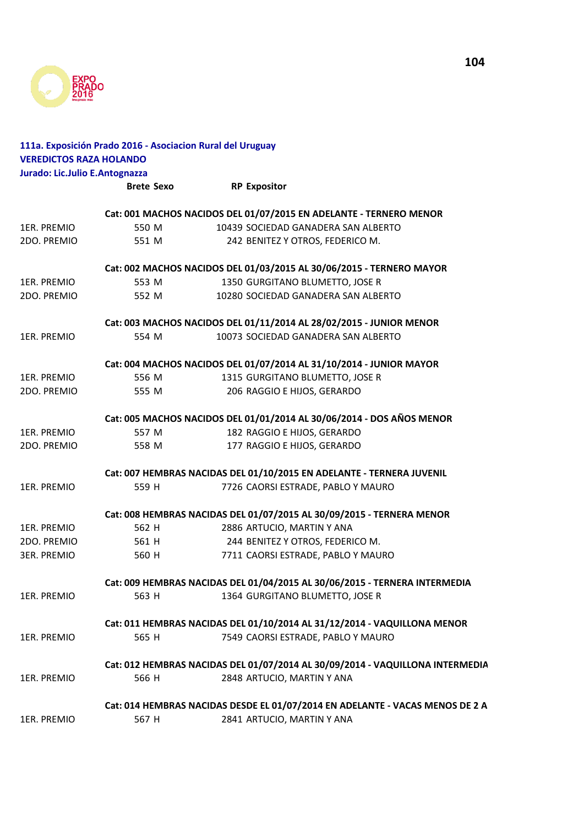

| <b>VEREDICTOS RAZA HOLANDO</b> | 111a. Exposición Prado 2016 - Asociacion Rural del Uruguay               |                                                                               |  |
|--------------------------------|--------------------------------------------------------------------------|-------------------------------------------------------------------------------|--|
| Jurado: Lic.Julio E.Antognazza |                                                                          |                                                                               |  |
|                                | <b>Brete Sexo</b>                                                        | <b>RP Expositor</b>                                                           |  |
|                                |                                                                          | Cat: 001 MACHOS NACIDOS DEL 01/07/2015 EN ADELANTE - TERNERO MENOR            |  |
| 1ER. PREMIO                    | 550 M                                                                    | 10439 SOCIEDAD GANADERA SAN ALBERTO                                           |  |
| 2DO. PREMIO                    | 551 M                                                                    | 242 BENITEZ Y OTROS, FEDERICO M.                                              |  |
|                                |                                                                          | Cat: 002 MACHOS NACIDOS DEL 01/03/2015 AL 30/06/2015 - TERNERO MAYOR          |  |
| 1ER. PREMIO                    | 553 M                                                                    | 1350 GURGITANO BLUMETTO, JOSE R                                               |  |
| 2DO. PREMIO                    | 552 M                                                                    | 10280 SOCIEDAD GANADERA SAN ALBERTO                                           |  |
|                                |                                                                          | Cat: 003 MACHOS NACIDOS DEL 01/11/2014 AL 28/02/2015 - JUNIOR MENOR           |  |
| 1ER. PREMIO                    | 554 M                                                                    | 10073 SOCIEDAD GANADERA SAN ALBERTO                                           |  |
|                                |                                                                          | Cat: 004 MACHOS NACIDOS DEL 01/07/2014 AL 31/10/2014 - JUNIOR MAYOR           |  |
| 1ER. PREMIO                    | 556 M                                                                    | 1315 GURGITANO BLUMETTO, JOSE R                                               |  |
| 2DO. PREMIO                    | 555 M                                                                    | 206 RAGGIO E HIJOS, GERARDO                                                   |  |
|                                |                                                                          | Cat: 005 MACHOS NACIDOS DEL 01/01/2014 AL 30/06/2014 - DOS AÑOS MENOR         |  |
| 1ER. PREMIO                    | 557 M                                                                    | 182 RAGGIO E HIJOS, GERARDO                                                   |  |
| 2DO. PREMIO                    | 558 M                                                                    | 177 RAGGIO E HIJOS, GERARDO                                                   |  |
|                                |                                                                          | Cat: 007 HEMBRAS NACIDAS DEL 01/10/2015 EN ADELANTE - TERNERA JUVENIL         |  |
| 1ER. PREMIO                    | 559 H                                                                    | 7726 CAORSI ESTRADE, PABLO Y MAURO                                            |  |
|                                |                                                                          | Cat: 008 HEMBRAS NACIDAS DEL 01/07/2015 AL 30/09/2015 - TERNERA MENOR         |  |
| 1ER. PREMIO                    | 562 H                                                                    | 2886 ARTUCIO, MARTIN Y ANA                                                    |  |
| 2DO. PREMIO                    | 561 H                                                                    | 244 BENITEZ Y OTROS, FEDERICO M.                                              |  |
| <b>3ER. PREMIO</b>             | 560 H                                                                    | 7711 CAORSI ESTRADE, PABLO Y MAURO                                            |  |
|                                |                                                                          | Cat: 009 HEMBRAS NACIDAS DEL 01/04/2015 AL 30/06/2015 - TERNERA INTERMEDIA    |  |
| 1ER. PREMIO                    | 563 H                                                                    | 1364 GURGITANO BLUMETTO, JOSE R                                               |  |
|                                | Cat: 011 HEMBRAS NACIDAS DEL 01/10/2014 AL 31/12/2014 - VAQUILLONA MENOR |                                                                               |  |
| 1ER. PREMIO                    | 565 H                                                                    | 7549 CAORSI ESTRADE, PABLO Y MAURO                                            |  |
|                                |                                                                          | Cat: 012 HEMBRAS NACIDAS DEL 01/07/2014 AL 30/09/2014 - VAQUILLONA INTERMEDIA |  |
| 1ER. PREMIO                    | 566 H                                                                    | 2848 ARTUCIO, MARTIN Y ANA                                                    |  |
|                                |                                                                          | Cat: 014 HEMBRAS NACIDAS DESDE EL 01/07/2014 EN ADELANTE - VACAS MENOS DE 2 A |  |
| 1ER. PREMIO                    | 567 H                                                                    | 2841 ARTUCIO, MARTIN Y ANA                                                    |  |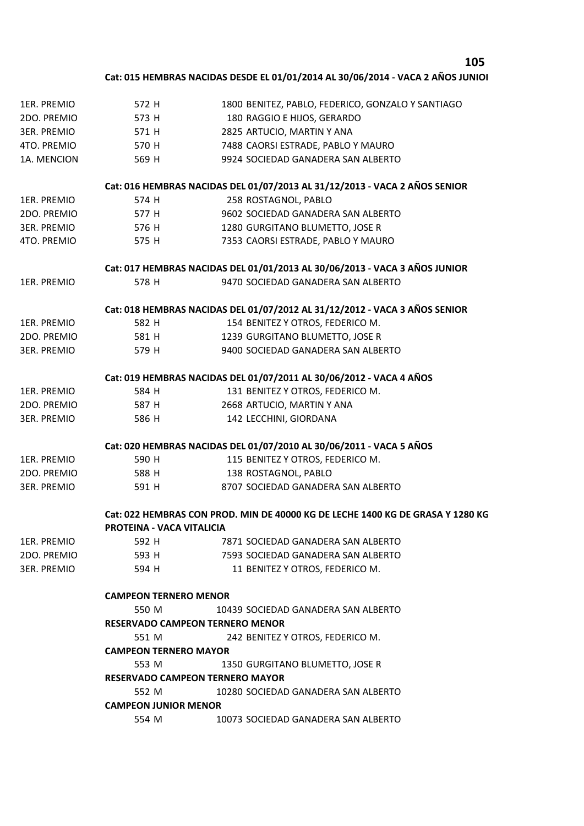## **105**

## **Cat: 015 HEMBRAS NACIDAS DESDE EL 01/01/2014 AL 30/06/2014 - VACA 2 AÑOS JUNIOR**

| 1ER. PREMIO        | 572 H                                                                          | 1800 BENITEZ, PABLO, FEDERICO, GONZALO Y SANTIAGO                          |  |
|--------------------|--------------------------------------------------------------------------------|----------------------------------------------------------------------------|--|
| 2DO. PREMIO        | 573 H                                                                          | 180 RAGGIO E HIJOS, GERARDO                                                |  |
| 3ER. PREMIO        | 571 H                                                                          | 2825 ARTUCIO, MARTIN Y ANA                                                 |  |
| 4TO. PREMIO        | 570 H                                                                          | 7488 CAORSI ESTRADE, PABLO Y MAURO                                         |  |
| 1A. MENCION        | 569 H                                                                          | 9924 SOCIEDAD GANADERA SAN ALBERTO                                         |  |
|                    |                                                                                | Cat: 016 HEMBRAS NACIDAS DEL 01/07/2013 AL 31/12/2013 - VACA 2 AÑOS SENIOR |  |
| 1ER. PREMIO        | 574 H                                                                          | 258 ROSTAGNOL, PABLO                                                       |  |
| 2DO. PREMIO        | 577 H                                                                          | 9602 SOCIEDAD GANADERA SAN ALBERTO                                         |  |
| <b>3ER. PREMIO</b> | 576 H                                                                          | 1280 GURGITANO BLUMETTO, JOSE R                                            |  |
| 4TO. PREMIO        | 575 H                                                                          | 7353 CAORSI ESTRADE, PABLO Y MAURO                                         |  |
|                    |                                                                                | Cat: 017 HEMBRAS NACIDAS DEL 01/01/2013 AL 30/06/2013 - VACA 3 AÑOS JUNIOR |  |
| 1ER. PREMIO        | 578 H                                                                          | 9470 SOCIEDAD GANADERA SAN ALBERTO                                         |  |
|                    |                                                                                | Cat: 018 HEMBRAS NACIDAS DEL 01/07/2012 AL 31/12/2012 - VACA 3 AÑOS SENIOR |  |
| 1ER. PREMIO        | 582 H                                                                          | 154 BENITEZ Y OTROS, FEDERICO M.                                           |  |
| 2DO. PREMIO        | 581 H                                                                          | 1239 GURGITANO BLUMETTO, JOSE R                                            |  |
| <b>3ER. PREMIO</b> | 579 H                                                                          | 9400 SOCIEDAD GANADERA SAN ALBERTO                                         |  |
|                    |                                                                                | Cat: 019 HEMBRAS NACIDAS DEL 01/07/2011 AL 30/06/2012 - VACA 4 AÑOS        |  |
| 1ER. PREMIO        | 584 H                                                                          | 131 BENITEZ Y OTROS, FEDERICO M.                                           |  |
| 2DO. PREMIO        | 587 H                                                                          | 2668 ARTUCIO, MARTIN Y ANA                                                 |  |
| <b>3ER. PREMIO</b> | 586 H                                                                          | 142 LECCHINI, GIORDANA                                                     |  |
|                    |                                                                                | Cat: 020 HEMBRAS NACIDAS DEL 01/07/2010 AL 30/06/2011 - VACA 5 AÑOS        |  |
| 1ER. PREMIO        | 590 H                                                                          | 115 BENITEZ Y OTROS, FEDERICO M.                                           |  |
| 2DO. PREMIO        | 588 H                                                                          | 138 ROSTAGNOL, PABLO                                                       |  |
| <b>3ER. PREMIO</b> | 591 H                                                                          | 8707 SOCIEDAD GANADERA SAN ALBERTO                                         |  |
|                    | Cat: 022 HEMBRAS CON PROD. MIN DE 40000 KG DE LECHE 1400 KG DE GRASA Y 1280 KG |                                                                            |  |
|                    | <b>PROTEINA - VACA VITALICIA</b>                                               |                                                                            |  |
| 1ER. PREMIO        | 592 H                                                                          | 7871 SOCIEDAD GANADERA SAN ALBERTO                                         |  |
| 2DO. PREMIO        | 593 H                                                                          | 7593 SOCIEDAD GANADERA SAN ALBERTO                                         |  |
| <b>3ER. PREMIO</b> | 594 H                                                                          | 11 BENITEZ Y OTROS, FEDERICO M.                                            |  |
|                    | <b>CAMPEON TERNERO MENOR</b>                                                   |                                                                            |  |
|                    | 550 M<br>10439 SOCIEDAD GANADERA SAN ALBERTO                                   |                                                                            |  |
|                    | <b>RESERVADO CAMPEON TERNERO MENOR</b>                                         |                                                                            |  |
|                    | 551 M<br>242 BENITEZ Y OTROS, FEDERICO M.                                      |                                                                            |  |
|                    | <b>CAMPEON TERNERO MAYOR</b>                                                   |                                                                            |  |
|                    | 553 M                                                                          | 1350 GURGITANO BLUMETTO, JOSE R                                            |  |
|                    | <b>RESERVADO CAMPEON TERNERO MAYOR</b>                                         |                                                                            |  |
|                    | 552 M                                                                          | 10280 SOCIEDAD GANADERA SAN ALBERTO                                        |  |
|                    | <b>CAMPEON JUNIOR MENOR</b>                                                    |                                                                            |  |
|                    | 554 M                                                                          | 10073 SOCIEDAD GANADERA SAN ALBERTO                                        |  |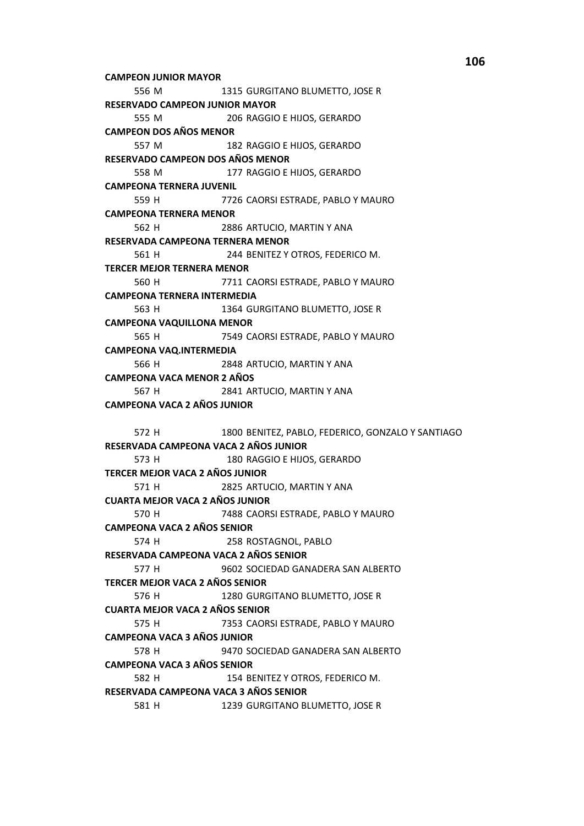**CAMPEON JUNIOR MAYOR** 1315 GURGITANO BLUMETTO, JOSE R 556 M **RESERVADO CAMPEON JUNIOR MAYOR** 555 M 206 RAGGIO E HIJOS, GERARDO **CAMPEON DOS AÑOS MENOR** 557 M 182 RAGGIO E HIJOS, GERARDO RESERVADO CAMPEON DOS AÑOS MENOR 177 RAGGIO E HIJOS, GERARDO 558 M **CAMPEONA TERNERA JUVENIL** 559 H 7726 CAORSI ESTRADE, PABLO Y MAURO **CAMPEONA TERNERA MENOR** 562 H 2886 ARTUCIO, MARTIN Y ANA RESERVADA CAMPEONA TERNERA MENOR 244 BENITEZ Y OTROS, FEDERICO M. 561 H **TERCER MEJOR TERNERA MENOR** 560 H 7711 CAORSI ESTRADE, PABLO Y MAURO **CAMPEONA TERNERA INTERMEDIA** 1364 GURGITANO BLUMETTO, JOSE R 563 H **CAMPEONA VAQUILLONA MENOR** 565 H 7549 CAORSI ESTRADE, PABLO Y MAURO **CAMPEONA VAQ.INTERMEDIA** 566 H 2848 ARTUCIO, MARTIN Y ANA **CAMPEONA VACA MENOR 2 AÑOS** 567 H 2841 ARTUCIO, MARTIN Y ANA **CAMPEONA VACA 2 AÑOS JUNIOR** 1800 BENITEZ, PABLO, FEDERICO, GONZALO Y SANTIAGO 572 H RESERVADA CAMPEONA VACA 2 AÑOS JUNIOR 573 H 180 RAGGIO E HIJOS. GERARDO **TERCER MEJOR VACA 2 AÑOS JUNIOR** 2825 ARTUCIO, MARTIN Y ANA 571 H **CUARTA MEJOR VACA 2 AÑOS JUNIOR** 570 H 7488 CAORSI ESTRADE, PABLO Y MAURO **CAMPEONA VACA 2 AÑOS SENIOR** 574 H 258 ROSTAGNOL, PABLO RESERVADA CAMPEONA VACA 2 AÑOS SENIOR 577 H 9602 SOCIEDAD GANADERA SAN ALBERTO **TERCER MEJOR VACA 2 AÑOS SENIOR** 576 H 1280 GURGITANO BLUMETTO, JOSE R **CUARTA MEJOR VACA 2 AÑOS SENIOR** 575 H 7353 CAORSI ESTRADE, PABLO Y MAURO **CAMPEONA VACA 3 AÑOS JUNIOR** 578 H 9470 SOCIEDAD GANADERA SAN ALBERTO **CAMPEONA VACA 3 AÑOS SENIOR** 582 H 154 BENITEZ Y OTROS, FEDERICO M. RESERVADA CAMPEONA VACA 3 AÑOS SENIOR 581 H 1239 GURGITANO BLUMETTO, JOSE R